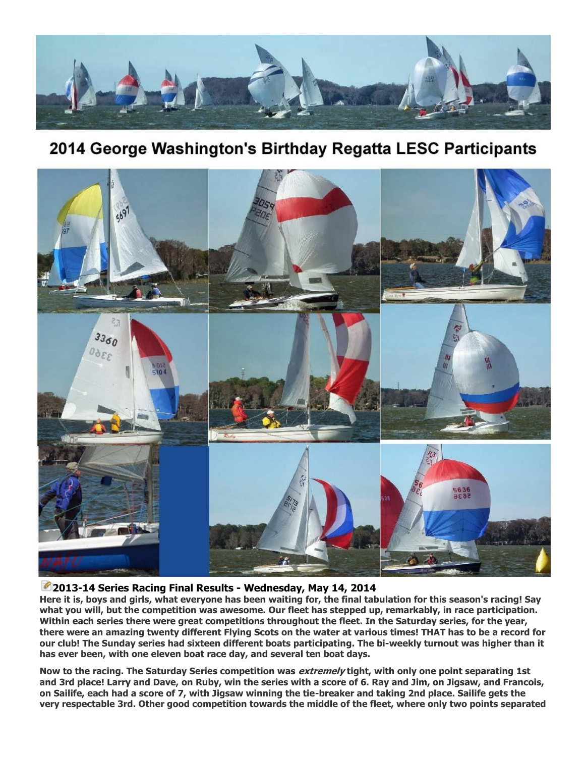

# 2014 George Washington's Birthday Regatta LESC Participants



# **[2](http://www.lakeeustissailingclub.org/Fleets/FlyingScot/tabid/101/ctl/Edit/mid/524/itemid/186/Default.aspx)013-14 Series Racing Final Results - Wednesday, May 14, 2014**

**Here it is, boys and girls, what everyone has been waiting for, the final tabulation for this season's racing! Say what you will, but the competition was awesome. Our fleet has stepped up, remarkably, in race participation. Within each series there were great competitions throughout the fleet. In the Saturday series, for the year, there were an amazing twenty different Flying Scots on the water at various times! THAT has to be a record for our club! The Sunday series had sixteen different boats participating. The bi-weekly turnout was higher than it has ever been, with one eleven boat race day, and several ten boat days.**

**Now to the racing. The Saturday Series competition was extremely tight, with only one point separating 1st and 3rd place! Larry and Dave, on Ruby, win the series with a score of 6. Ray and Jim, on Jigsaw, and Francois, on Sailife, each had a score of 7, with Jigsaw winning the tie-breaker and taking 2nd place. Sailife gets the very respectable 3rd. Other good competition towards the middle of the fleet, where only two points separated**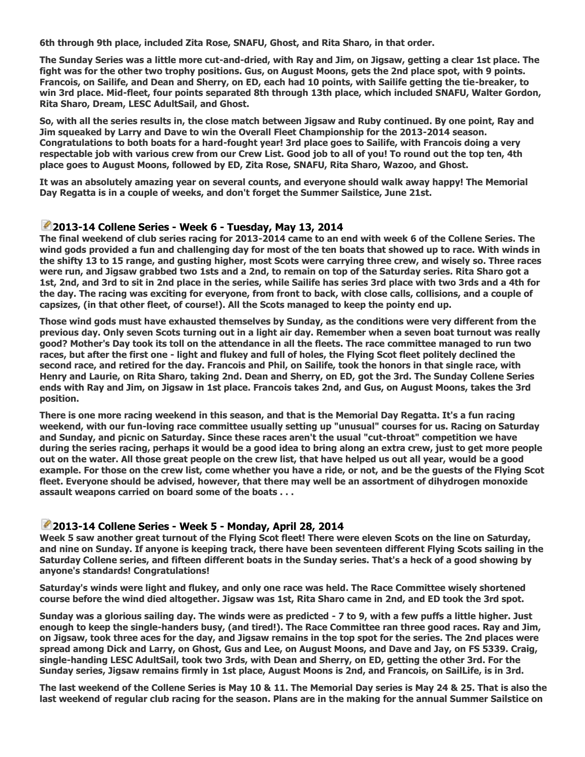**6th through 9th place, included Zita Rose, SNAFU, Ghost, and Rita Sharo, in that order.**

**The Sunday Series was a little more cut-and-dried, with Ray and Jim, on Jigsaw, getting a clear 1st place. The fight was for the other two trophy positions. Gus, on August Moons, gets the 2nd place spot, with 9 points. Francois, on Sailife, and Dean and Sherry, on ED, each had 10 points, with Sailife getting the tie-breaker, to win 3rd place. Mid-fleet, four points separated 8th through 13th place, which included SNAFU, Walter Gordon, Rita Sharo, Dream, LESC AdultSail, and Ghost.**

**So, with all the series results in, the close match between Jigsaw and Ruby continued. By one point, Ray and Jim squeaked by Larry and Dave to win the Overall Fleet Championship for the 2013-2014 season. Congratulations to both boats for a hard-fought year! 3rd place goes to Sailife, with Francois doing a very respectable job with various crew from our Crew List. Good job to all of you! To round out the top ten, 4th place goes to August Moons, followed by ED, Zita Rose, SNAFU, Rita Sharo, Wazoo, and Ghost.**

**It was an absolutely amazing year on several counts, and everyone should walk away happy! The Memorial Day Regatta is in a couple of weeks, and don't forget the Summer Sailstice, June 21st.**

## **[2](http://www.lakeeustissailingclub.org/Fleets/FlyingScot/tabid/101/ctl/Edit/mid/524/itemid/185/Default.aspx)013-14 Collene Series - Week 6 - Tuesday, May 13, 2014**

**The final weekend of club series racing for 2013-2014 came to an end with week 6 of the Collene Series. The wind gods provided a fun and challenging day for most of the ten boats that showed up to race. With winds in the shifty 13 to 15 range, and gusting higher, most Scots were carrying three crew, and wisely so. Three races were run, and Jigsaw grabbed two 1sts and a 2nd, to remain on top of the Saturday series. Rita Sharo got a 1st, 2nd, and 3rd to sit in 2nd place in the series, while Sailife has series 3rd place with two 3rds and a 4th for the day. The racing was exciting for everyone, from front to back, with close calls, collisions, and a couple of capsizes, (in that other fleet, of course!). All the Scots managed to keep the pointy end up.**

**Those wind gods must have exhausted themselves by Sunday, as the conditions were very different from the previous day. Only seven Scots turning out in a light air day. Remember when a seven boat turnout was really good? Mother's Day took its toll on the attendance in all the fleets. The race committee managed to run two races, but after the first one - light and flukey and full of holes, the Flying Scot fleet politely declined the second race, and retired for the day. Francois and Phil, on Sailife, took the honors in that single race, with Henry and Laurie, on Rita Sharo, taking 2nd. Dean and Sherry, on ED, got the 3rd. The Sunday Collene Series ends with Ray and Jim, on Jigsaw in 1st place. Francois takes 2nd, and Gus, on August Moons, takes the 3rd position.**

**There is one more racing weekend in this season, and that is the Memorial Day Regatta. It's a fun racing weekend, with our fun-loving race committee usually setting up "unusual" courses for us. Racing on Saturday and Sunday, and picnic on Saturday. Since these races aren't the usual "cut-throat" competition we have during the series racing, perhaps it would be a good idea to bring along an extra crew, just to get more people out on the water. All those great people on the crew list, that have helped us out all year, would be a good example. For those on the crew list, come whether you have a ride, or not, and be the guests of the Flying Scot fleet. Everyone should be advised, however, that there may well be an assortment of dihydrogen monoxide assault weapons carried on board some of the boats . . .**

#### **[2](http://www.lakeeustissailingclub.org/Fleets/FlyingScot/tabid/101/ctl/Edit/mid/524/itemid/183/Default.aspx)013-14 Collene Series - Week 5 - Monday, April 28, 2014**

**Week 5 saw another great turnout of the Flying Scot fleet! There were eleven Scots on the line on Saturday, and nine on Sunday. If anyone is keeping track, there have been seventeen different Flying Scots sailing in the Saturday Collene series, and fifteen different boats in the Sunday series. That's a heck of a good showing by anyone's standards! Congratulations!**

**Saturday's winds were light and flukey, and only one race was held. The Race Committee wisely shortened course before the wind died altogether. Jigsaw was 1st, Rita Sharo came in 2nd, and ED took the 3rd spot.**

**Sunday was a glorious sailing day. The winds were as predicted - 7 to 9, with a few puffs a little higher. Just enough to keep the single-handers busy, (and tired!). The Race Committee ran three good races. Ray and Jim, on Jigsaw, took three aces for the day, and Jigsaw remains in the top spot for the series. The 2nd places were spread among Dick and Larry, on Ghost, Gus and Lee, on August Moons, and Dave and Jay, on FS 5339. Craig, single-handing LESC AdultSail, took two 3rds, with Dean and Sherry, on ED, getting the other 3rd. For the Sunday series, Jigsaw remains firmly in 1st place, August Moons is 2nd, and Francois, on SailLife, is in 3rd.**

**The last weekend of the Collene Series is May 10 & 11. The Memorial Day series is May 24 & 25. That is also the last weekend of regular club racing for the season. Plans are in the making for the annual Summer Sailstice on**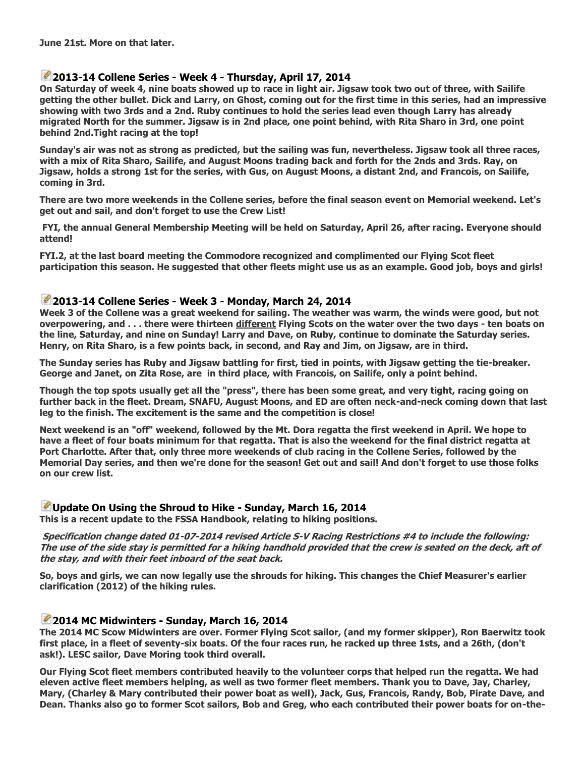## **[2](http://www.lakeeustissailingclub.org/Fleets/FlyingScot/tabid/101/ctl/Edit/mid/524/itemid/182/Default.aspx)013-14 Collene Series - Week 4 - Thursday, April 17, 2014**

**On Saturday of week 4, nine boats showed up to race in light air. Jigsaw took two out of three, with Sailife getting the other bullet. Dick and Larry, on Ghost, coming out for the first time in this series, had an impressive showing with two 3rds and a 2nd. Ruby continues to hold the series lead even though Larry has already migrated North for the summer. Jigsaw is in 2nd place, one point behind, with Rita Sharo in 3rd, one point behind 2nd.Tight racing at the top!**

**Sunday's air was not as strong as predicted, but the sailing was fun, nevertheless. Jigsaw took all three races, with a mix of Rita Sharo, Sailife, and August Moons trading back and forth for the 2nds and 3rds. Ray, on Jigsaw, holds a strong 1st for the series, with Gus, on August Moons, a distant 2nd, and Francois, on Sailife, coming in 3rd.**

**There are two more weekends in the Collene series, before the final season event on Memorial weekend. Let's get out and sail, and don't forget to use the Crew List!**

**FYI, the annual General Membership Meeting will be held on Saturday, April 26, after racing. Everyone should attend!**

**FYI.2, at the last board meeting the Commodore recognized and complimented our Flying Scot fleet participation this season. He suggested that other fleets might use us as an example. Good job, boys and girls!**

#### **[2](http://www.lakeeustissailingclub.org/Fleets/FlyingScot/tabid/101/ctl/Edit/mid/524/itemid/179/Default.aspx)013-14 Collene Series - Week 3 - Monday, March 24, 2014**

**Week 3 of the Collene was a great weekend for sailing. The weather was warm, the winds were good, but not overpowering, and . . . there were thirteen different Flying Scots on the water over the two days - ten boats on the line, Saturday, and nine on Sunday! Larry and Dave, on Ruby, continue to dominate the Saturday series. Henry, on Rita Sharo, is a few points back, in second, and Ray and Jim, on Jigsaw, are in third.**

**The Sunday series has Ruby and Jigsaw battling for first, tied in points, with Jigsaw getting the tie-breaker. George and Janet, on Zita Rose, are in third place, with Francois, on Sailife, only a point behind.**

**Though the top spots usually get all the "press", there has been some great, and very tight, racing going on further back in the fleet. Dream, SNAFU, August Moons, and ED are often neck-and-neck coming down that last leg to the finish. The excitement is the same and the competition is close!**

**Next weekend is an "off" weekend, followed by the Mt. Dora regatta the first weekend in April. We hope to have a fleet of four boats minimum for that regatta. That is also the weekend for the final district regatta at Port Charlotte. After that, only three more weekends of club racing in the Collene Series, followed by the Memorial Day series, and then we're done for the season! Get out and sail! And don't forget to use those folks on our crew list.**

# **[U](http://www.lakeeustissailingclub.org/Fleets/FlyingScot/tabid/101/ctl/Edit/mid/524/itemid/178/Default.aspx)pdate On Using the Shroud to Hike - Sunday, March 16, 2014**

**This is a recent update to the FSSA Handbook, relating to hiking positions.**

**Specification change dated 01-07-2014 revised Article S-V Racing Restrictions #4 to include the following: The use of the side stay is permitted for a hiking handhold provided that the crew is seated on the deck, aft of the stay, and with their feet inboard of the seat back.**

**So, boys and girls, we can now legally use the shrouds for hiking. This changes the Chief Measurer's earlier clarification (2012) of the hiking rules.**

# **[2](http://www.lakeeustissailingclub.org/Fleets/FlyingScot/tabid/101/ctl/Edit/mid/524/itemid/177/Default.aspx)014 MC Midwinters - Sunday, March 16, 2014**

**The 2014 MC Scow Midwinters are over. Former Flying Scot sailor, (and my former skipper), Ron Baerwitz took first place, in a fleet of seventy-six boats. Of the four races run, he racked up three 1sts, and a 26th, (don't ask!). LESC sailor, Dave Moring took third overall.**

**Our Flying Scot fleet members contributed heavily to the volunteer corps that helped run the regatta. We had eleven active fleet members helping, as well as two former fleet members. Thank you to Dave, Jay, Charley, Mary, (Charley & Mary contributed their power boat as well), Jack, Gus, Francois, Randy, Bob, Pirate Dave, and Dean. Thanks also go to former Scot sailors, Bob and Greg, who each contributed their power boats for on-the-**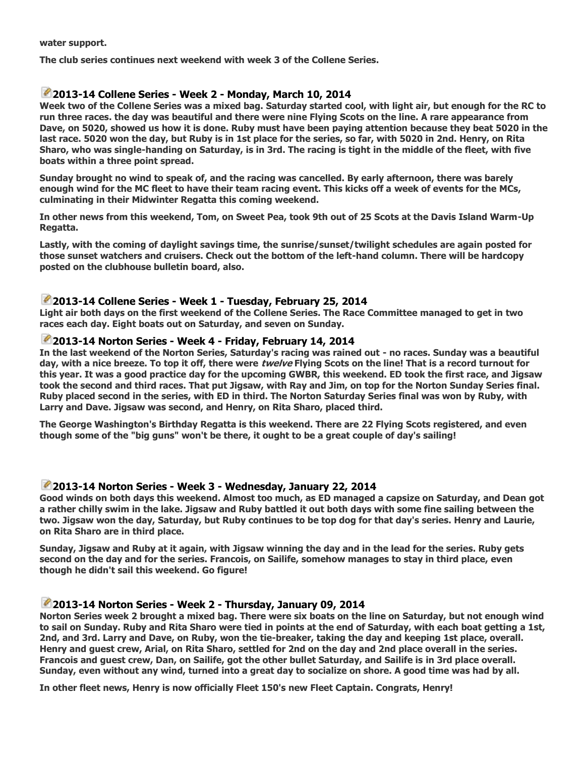**water support.**

**The club series continues next weekend with week 3 of the Collene Series.**

# **[2](http://www.lakeeustissailingclub.org/Fleets/FlyingScot/tabid/101/ctl/Edit/mid/524/itemid/175/Default.aspx)013-14 Collene Series - Week 2 - Monday, March 10, 2014**

**Week two of the Collene Series was a mixed bag. Saturday started cool, with light air, but enough for the RC to run three races. the day was beautiful and there were nine Flying Scots on the line. A rare appearance from Dave, on 5020, showed us how it is done. Ruby must have been paying attention because they beat 5020 in the last race. 5020 won the day, but Ruby is in 1st place for the series, so far, with 5020 in 2nd. Henry, on Rita Sharo, who was single-handing on Saturday, is in 3rd. The racing is tight in the middle of the fleet, with five boats within a three point spread.**

**Sunday brought no wind to speak of, and the racing was cancelled. By early afternoon, there was barely enough wind for the MC fleet to have their team racing event. This kicks off a week of events for the MCs, culminating in their Midwinter Regatta this coming weekend.**

**In other news from this weekend, Tom, on Sweet Pea, took 9th out of 25 Scots at the Davis Island Warm-Up Regatta.**

**Lastly, with the coming of daylight savings time, the sunrise/sunset/twilight schedules are again posted for those sunset watchers and cruisers. Check out the bottom of the left-hand column. There will be hardcopy posted on the clubhouse bulletin board, also.**

#### **[2](http://www.lakeeustissailingclub.org/Fleets/FlyingScot/tabid/101/ctl/Edit/mid/524/itemid/173/Default.aspx)013-14 Collene Series - Week 1 - Tuesday, February 25, 2014**

**Light air both days on the first weekend of the Collene Series. The Race Committee managed to get in two races each day. Eight boats out on Saturday, and seven on Sunday.**

#### **[2](http://www.lakeeustissailingclub.org/Fleets/FlyingScot/tabid/101/ctl/Edit/mid/524/itemid/172/Default.aspx)013-14 Norton Series - Week 4 - Friday, February 14, 2014**

**In the last weekend of the Norton Series, Saturday's racing was rained out - no races. Sunday was a beautiful day, with a nice breeze. To top it off, there were twelve Flying Scots on the line! That is a record turnout for this year. It was a good practice day for the upcoming GWBR, this weekend. ED took the first race, and Jigsaw took the second and third races. That put Jigsaw, with Ray and Jim, on top for the Norton Sunday Series final. Ruby placed second in the series, with ED in third. The Norton Saturday Series final was won by Ruby, with Larry and Dave. Jigsaw was second, and Henry, on Rita Sharo, placed third.**

**The George Washington's Birthday Regatta is this weekend. There are 22 Flying Scots registered, and even though some of the "big guns" won't be there, it ought to be a great couple of day's sailing!**

#### **[2](http://www.lakeeustissailingclub.org/Fleets/FlyingScot/tabid/101/ctl/Edit/mid/524/itemid/169/Default.aspx)013-14 Norton Series - Week 3 - Wednesday, January 22, 2014**

**Good winds on both days this weekend. Almost too much, as ED managed a capsize on Saturday, and Dean got a rather chilly swim in the lake. Jigsaw and Ruby battled it out both days with some fine sailing between the two. Jigsaw won the day, Saturday, but Ruby continues to be top dog for that day's series. Henry and Laurie, on Rita Sharo are in third place.**

**Sunday, Jigsaw and Ruby at it again, with Jigsaw winning the day and in the lead for the series. Ruby gets second on the day and for the series. Francois, on Sailife, somehow manages to stay in third place, even though he didn't sail this weekend. Go figure!**

## **[2](http://www.lakeeustissailingclub.org/Fleets/FlyingScot/tabid/101/ctl/Edit/mid/524/itemid/167/Default.aspx)013-14 Norton Series - Week 2 - Thursday, January 09, 2014**

**Norton Series week 2 brought a mixed bag. There were six boats on the line on Saturday, but not enough wind to sail on Sunday. Ruby and Rita Sharo were tied in points at the end of Saturday, with each boat getting a 1st, 2nd, and 3rd. Larry and Dave, on Ruby, won the tie-breaker, taking the day and keeping 1st place, overall. Henry and guest crew, Arial, on Rita Sharo, settled for 2nd on the day and 2nd place overall in the series. Francois and guest crew, Dan, on Sailife, got the other bullet Saturday, and Sailife is in 3rd place overall. Sunday, even without any wind, turned into a great day to socialize on shore. A good time was had by all.**

**In other fleet news, Henry is now officially Fleet 150's new Fleet Captain. Congrats, Henry!**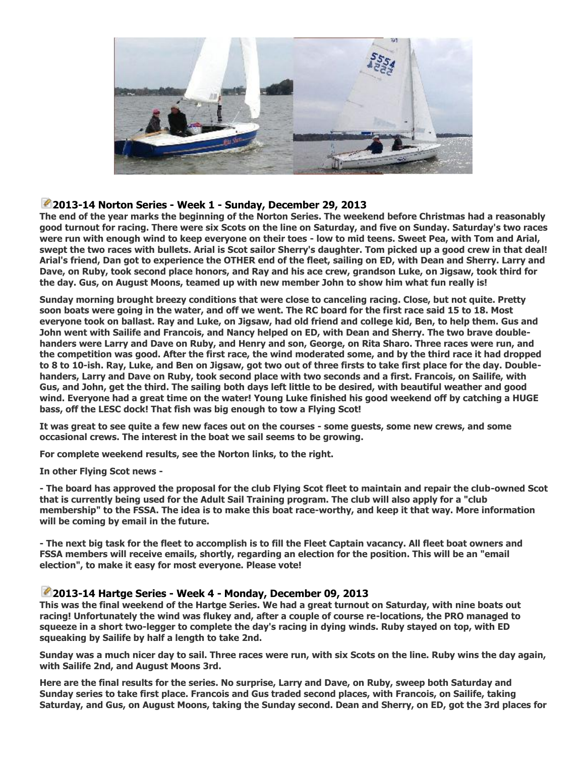

# **[2](http://www.lakeeustissailingclub.org/Fleets/FlyingScot/tabid/101/ctl/Edit/mid/524/itemid/165/Default.aspx)013-14 Norton Series - Week 1 - Sunday, December 29, 2013**

**The end of the year marks the beginning of the Norton Series. The weekend before Christmas had a reasonably good turnout for racing. There were six Scots on the line on Saturday, and five on Sunday. Saturday's two races were run with enough wind to keep everyone on their toes - low to mid teens. Sweet Pea, with Tom and Arial, swept the two races with bullets. Arial is Scot sailor Sherry's daughter. Tom picked up a good crew in that deal! Arial's friend, Dan got to experience the OTHER end of the fleet, sailing on ED, with Dean and Sherry. Larry and Dave, on Ruby, took second place honors, and Ray and his ace crew, grandson Luke, on Jigsaw, took third for the day. Gus, on August Moons, teamed up with new member John to show him what fun really is!**

**Sunday morning brought breezy conditions that were close to canceling racing. Close, but not quite. Pretty soon boats were going in the water, and off we went. The RC board for the first race said 15 to 18. Most everyone took on ballast. Ray and Luke, on Jigsaw, had old friend and college kid, Ben, to help them. Gus and John went with Sailife and Francois, and Nancy helped on ED, with Dean and Sherry. The two brave doublehanders were Larry and Dave on Ruby, and Henry and son, George, on Rita Sharo. Three races were run, and the competition was good. After the first race, the wind moderated some, and by the third race it had dropped to 8 to 10-ish. Ray, Luke, and Ben on Jigsaw, got two out of three firsts to take first place for the day. Doublehanders, Larry and Dave on Ruby, took second place with two seconds and a first. Francois, on Sailife, with Gus, and John, get the third. The sailing both days left little to be desired, with beautiful weather and good wind. Everyone had a great time on the water! Young Luke finished his good weekend off by catching a HUGE bass, off the LESC dock! That fish was big enough to tow a Flying Scot!**

**It was great to see quite a few new faces out on the courses - some guests, some new crews, and some occasional crews. The interest in the boat we sail seems to be growing.**

**For complete weekend results, see the Norton links, to the right.**

**In other Flying Scot news -**

**- The board has approved the proposal for the club Flying Scot fleet to maintain and repair the club-owned Scot that is currently being used for the Adult Sail Training program. The club will also apply for a "club membership" to the FSSA. The idea is to make this boat race-worthy, and keep it that way. More information will be coming by email in the future.**

**- The next big task for the fleet to accomplish is to fill the Fleet Captain vacancy. All fleet boat owners and FSSA members will receive emails, shortly, regarding an election for the position. This will be an "email election", to make it easy for most everyone. Please vote!**

#### **[2](http://www.lakeeustissailingclub.org/Fleets/FlyingScot/tabid/101/ctl/Edit/mid/524/itemid/161/Default.aspx)013-14 Hartge Series - Week 4 - Monday, December 09, 2013**

**This was the final weekend of the Hartge Series. We had a great turnout on Saturday, with nine boats out racing! Unfortunately the wind was flukey and, after a couple of course re-locations, the PRO managed to squeeze in a short two-legger to complete the day's racing in dying winds. Ruby stayed on top, with ED squeaking by Sailife by half a length to take 2nd.**

**Sunday was a much nicer day to sail. Three races were run, with six Scots on the line. Ruby wins the day again, with Sailife 2nd, and August Moons 3rd.**

**Here are the final results for the series. No surprise, Larry and Dave, on Ruby, sweep both Saturday and Sunday series to take first place. Francois and Gus traded second places, with Francois, on Sailife, taking Saturday, and Gus, on August Moons, taking the Sunday second. Dean and Sherry, on ED, got the 3rd places for**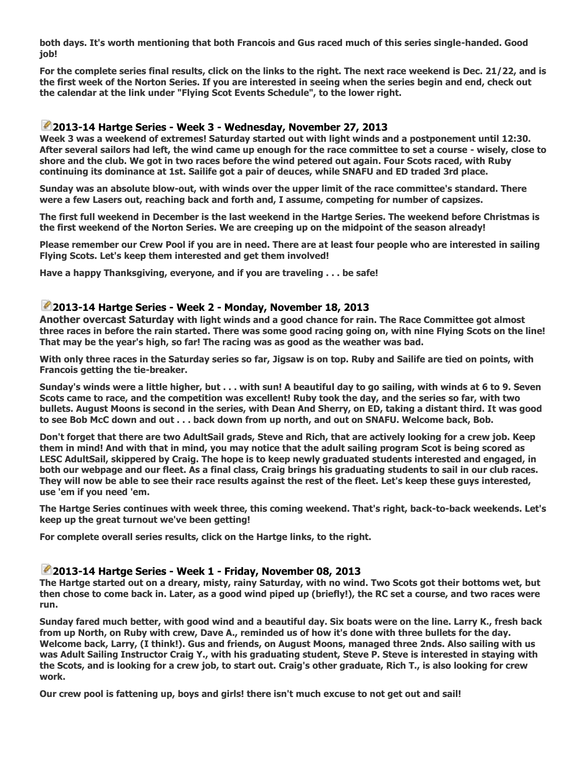**both days. It's worth mentioning that both Francois and Gus raced much of this series single-handed. Good job!**

**For the complete series final results, click on the links to the right. The next race weekend is Dec. 21/22, and is the first week of the Norton Series. If you are interested in seeing when the series begin and end, check out the calendar at the link under "Flying Scot Events Schedule", to the lower right.**

## **[2](http://www.lakeeustissailingclub.org/Fleets/FlyingScot/tabid/101/ctl/Edit/mid/524/itemid/159/Default.aspx)013-14 Hartge Series - Week 3 - Wednesday, November 27, 2013**

**Week 3 was a weekend of extremes! Saturday started out with light winds and a postponement until 12:30. After several sailors had left, the wind came up enough for the race committee to set a course - wisely, close to shore and the club. We got in two races before the wind petered out again. Four Scots raced, with Ruby continuing its dominance at 1st. Sailife got a pair of deuces, while SNAFU and ED traded 3rd place.**

**Sunday was an absolute blow-out, with winds over the upper limit of the race committee's standard. There were a few Lasers out, reaching back and forth and, I assume, competing for number of capsizes.**

**The first full weekend in December is the last weekend in the Hartge Series. The weekend before Christmas is the first weekend of the Norton Series. We are creeping up on the midpoint of the season already!**

**Please remember our Crew Pool if you are in need. There are at least four people who are interested in sailing Flying Scots. Let's keep them interested and get them involved!**

**Have a happy Thanksgiving, everyone, and if you are traveling . . . be safe!**

#### **[2](http://www.lakeeustissailingclub.org/Fleets/FlyingScot/tabid/101/ctl/Edit/mid/524/itemid/155/Default.aspx)013-14 Hartge Series - Week 2 - Monday, November 18, 2013**

**Another overcast Saturday with light winds and a good chance for rain. The Race Committee got almost three races in before the rain started. There was some good racing going on, with nine Flying Scots on the line! That may be the year's high, so far! The racing was as good as the weather was bad.**

**With only three races in the Saturday series so far, Jigsaw is on top. Ruby and Sailife are tied on points, with Francois getting the tie-breaker.**

**Sunday's winds were a little higher, but . . . with sun! A beautiful day to go sailing, with winds at 6 to 9. Seven Scots came to race, and the competition was excellent! Ruby took the day, and the series so far, with two bullets. August Moons is second in the series, with Dean And Sherry, on ED, taking a distant third. It was good to see Bob McC down and out . . . back down from up north, and out on SNAFU. Welcome back, Bob.**

**Don't forget that there are two AdultSail grads, Steve and Rich, that are actively looking for a crew job. Keep them in mind! And with that in mind, you may notice that the adult sailing program Scot is being scored as LESC AdultSail, skippered by Craig. The hope is to keep newly graduated students interested and engaged, in both our webpage and our fleet. As a final class, Craig brings his graduating students to sail in our club races. They will now be able to see their race results against the rest of the fleet. Let's keep these guys interested, use 'em if you need 'em.**

**The Hartge Series continues with week three, this coming weekend. That's right, back-to-back weekends. Let's keep up the great turnout we've been getting!**

**For complete overall series results, click on the Hartge links, to the right.**

#### **[2](http://www.lakeeustissailingclub.org/Fleets/FlyingScot/tabid/101/ctl/Edit/mid/524/itemid/153/Default.aspx)013-14 Hartge Series - Week 1 - Friday, November 08, 2013**

**The Hartge started out on a dreary, misty, rainy Saturday, with no wind. Two Scots got their bottoms wet, but then chose to come back in. Later, as a good wind piped up (briefly!), the RC set a course, and two races were run.**

**Sunday fared much better, with good wind and a beautiful day. Six boats were on the line. Larry K., fresh back from up North, on Ruby with crew, Dave A., reminded us of how it's done with three bullets for the day. Welcome back, Larry, (I think!). Gus and friends, on August Moons, managed three 2nds. Also sailing with us was Adult Sailing Instructor Craig Y., with his graduating student, Steve P. Steve is interested in staying with the Scots, and is looking for a crew job, to start out. Craig's other graduate, Rich T., is also looking for crew work.**

**Our crew pool is fattening up, boys and girls! there isn't much excuse to not get out and sail!**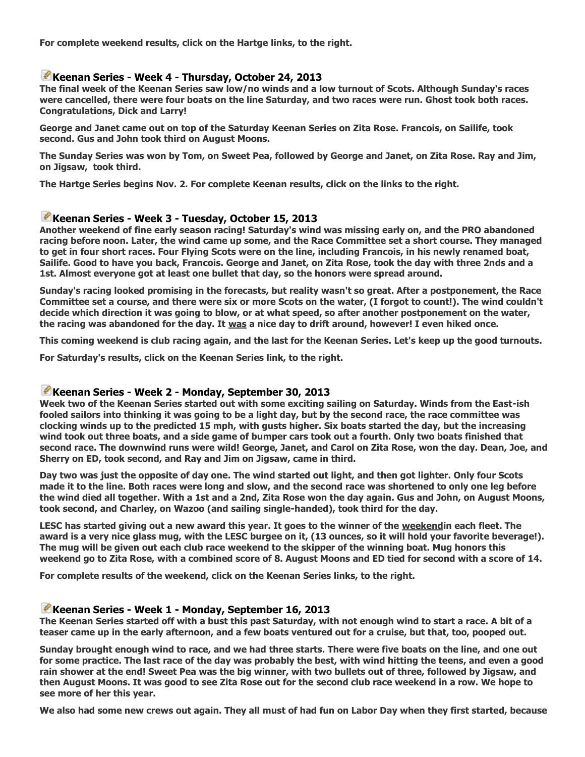**For complete weekend results, click on the Hartge links, to the right.**

#### **[K](http://www.lakeeustissailingclub.org/Fleets/FlyingScot/tabid/101/ctl/Edit/mid/524/itemid/151/Default.aspx)eenan Series - Week 4 - Thursday, October 24, 2013**

**The final week of the Keenan Series saw low/no winds and a low turnout of Scots. Although Sunday's races were cancelled, there were four boats on the line Saturday, and two races were run. Ghost took both races. Congratulations, Dick and Larry!**

**George and Janet came out on top of the Saturday Keenan Series on Zita Rose. Francois, on Sailife, took second. Gus and John took third on August Moons.**

**The Sunday Series was won by Tom, on Sweet Pea, followed by George and Janet, on Zita Rose. Ray and Jim, on Jigsaw, took third.**

**The Hartge Series begins Nov. 2. For complete Keenan results, click on the links to the right.**

## **[K](http://www.lakeeustissailingclub.org/Fleets/FlyingScot/tabid/101/ctl/Edit/mid/524/itemid/148/Default.aspx)eenan Series - Week 3 - Tuesday, October 15, 2013**

**Another weekend of fine early season racing! Saturday's wind was missing early on, and the PRO abandoned racing before noon. Later, the wind came up some, and the Race Committee set a short course. They managed to get in four short races. Four Flying Scots were on the line, including Francois, in his newly renamed boat, Sailife. Good to have you back, Francois. George and Janet, on Zita Rose, took the day with three 2nds and a 1st. Almost everyone got at least one bullet that day, so the honors were spread around.**

**Sunday's racing looked promising in the forecasts, but reality wasn't so great. After a postponement, the Race Committee set a course, and there were six or more Scots on the water, (I forgot to count!). The wind couldn't decide which direction it was going to blow, or at what speed, so after another postponement on the water, the racing was abandoned for the day. It was a nice day to drift around, however! I even hiked once.**

**This coming weekend is club racing again, and the last for the Keenan Series. Let's keep up the good turnouts.**

**For Saturday's results, click on the Keenan Series link, to the right.**

#### **[K](http://www.lakeeustissailingclub.org/Fleets/FlyingScot/tabid/101/ctl/Edit/mid/524/itemid/145/Default.aspx)eenan Series - Week 2 - Monday, September 30, 2013**

**Week two of the Keenan Series started out with some exciting sailing on Saturday. Winds from the East-ish fooled sailors into thinking it was going to be a light day, but by the second race, the race committee was clocking winds up to the predicted 15 mph, with gusts higher. Six boats started the day, but the increasing wind took out three boats, and a side game of bumper cars took out a fourth. Only two boats finished that second race. The downwind runs were wild! George, Janet, and Carol on Zita Rose, won the day. Dean, Joe, and Sherry on ED, took second, and Ray and Jim on Jigsaw, came in third.**

**Day two was just the opposite of day one. The wind started out light, and then got lighter. Only four Scots made it to the line. Both races were long and slow, and the second race was shortened to only one leg before the wind died all together. With a 1st and a 2nd, Zita Rose won the day again. Gus and John, on August Moons, took second, and Charley, on Wazoo (and sailing single-handed), took third for the day.**

**LESC has started giving out a new award this year. It goes to the winner of the weekendin each fleet. The award is a very nice glass mug, with the LESC burgee on it, (13 ounces, so it will hold your favorite beverage!). The mug will be given out each club race weekend to the skipper of the winning boat. Mug honors this weekend go to Zita Rose, with a combined score of 8. August Moons and ED tied for second with a score of 14.**

**For complete results of the weekend, click on the Keenan Series links, to the right.**

#### **[K](http://www.lakeeustissailingclub.org/Fleets/FlyingScot/tabid/101/ctl/Edit/mid/524/itemid/143/Default.aspx)eenan Series - Week 1 - Monday, September 16, 2013**

**The Keenan Series started off with a bust this past Saturday, with not enough wind to start a race. A bit of a teaser came up in the early afternoon, and a few boats ventured out for a cruise, but that, too, pooped out.**

**Sunday brought enough wind to race, and we had three starts. There were five boats on the line, and one out for some practice. The last race of the day was probably the best, with wind hitting the teens, and even a good rain shower at the end! Sweet Pea was the big winner, with two bullets out of three, followed by Jigsaw, and then August Moons. It was good to see Zita Rose out for the second club race weekend in a row. We hope to see more of her this year.**

**We also had some new crews out again. They all must of had fun on Labor Day when they first started, because**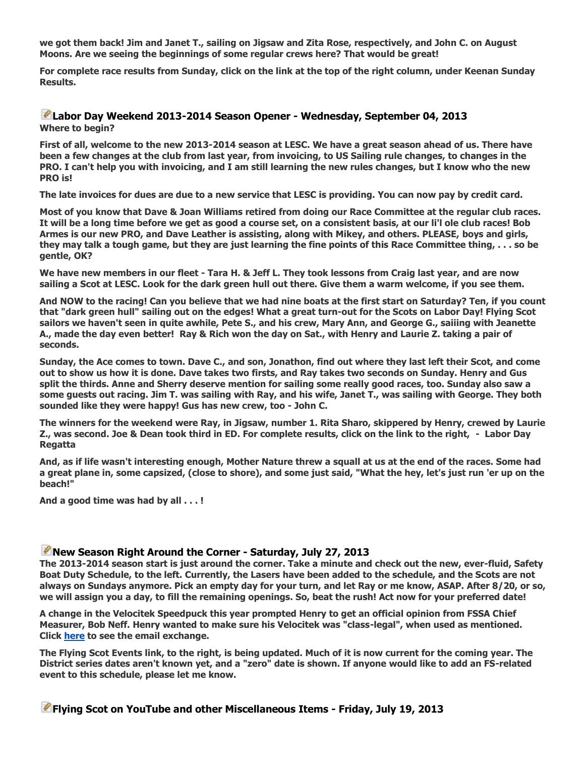**we got them back! Jim and Janet T., sailing on Jigsaw and Zita Rose, respectively, and John C. on August Moons. Are we seeing the beginnings of some regular crews here? That would be great!**

**For complete race results from Sunday, click on the link at the top of the right column, under Keenan Sunday Results.**

## **[L](http://www.lakeeustissailingclub.org/Fleets/FlyingScot/tabid/101/ctl/Edit/mid/524/itemid/142/Default.aspx)abor Day Weekend 2013-2014 Season Opener - Wednesday, September 04, 2013 Where to begin?**

**First of all, welcome to the new 2013-2014 season at LESC. We have a great season ahead of us. There have been a few changes at the club from last year, from invoicing, to US Sailing rule changes, to changes in the PRO. I can't help you with invoicing, and I am still learning the new rules changes, but I know who the new PRO is!**

**The late invoices for dues are due to a new service that LESC is providing. You can now pay by credit card.**

**Most of you know that Dave & Joan Williams retired from doing our Race Committee at the regular club races. It will be a long time before we get as good a course set, on a consistent basis, at our li'l ole club races! Bob Armes is our new PRO, and Dave Leather is assisting, along with Mikey, and others. PLEASE, boys and girls, they may talk a tough game, but they are just learning the fine points of this Race Committee thing, . . . so be gentle, OK?**

**We have new members in our fleet - Tara H. & Jeff L. They took lessons from Craig last year, and are now sailing a Scot at LESC. Look for the dark green hull out there. Give them a warm welcome, if you see them.**

**And NOW to the racing! Can you believe that we had nine boats at the first start on Saturday? Ten, if you count that "dark green hull" sailing out on the edges! What a great turn-out for the Scots on Labor Day! Flying Scot sailors we haven't seen in quite awhile, Pete S., and his crew, Mary Ann, and George G., saiiing with Jeanette A., made the day even better! Ray & Rich won the day on Sat., with Henry and Laurie Z. taking a pair of seconds.**

**Sunday, the Ace comes to town. Dave C., and son, Jonathon, find out where they last left their Scot, and come out to show us how it is done. Dave takes two firsts, and Ray takes two seconds on Sunday. Henry and Gus split the thirds. Anne and Sherry deserve mention for sailing some really good races, too. Sunday also saw a some guests out racing. Jim T. was sailing with Ray, and his wife, Janet T., was sailing with George. They both sounded like they were happy! Gus has new crew, too - John C.**

**The winners for the weekend were Ray, in Jigsaw, number 1. Rita Sharo, skippered by Henry, crewed by Laurie Z., was second. Joe & Dean took third in ED. For complete results, click on the link to the right, - Labor Day Regatta**

**And, as if life wasn't interesting enough, Mother Nature threw a squall at us at the end of the races. Some had a great plane in, some capsized, (close to shore), and some just said, "What the hey, let's just run 'er up on the beach!"**

**And a good time was had by all . . . !**

## **[N](http://www.lakeeustissailingclub.org/Fleets/FlyingScot/tabid/101/ctl/Edit/mid/524/itemid/138/Default.aspx)ew Season Right Around the Corner - Saturday, July 27, 2013**

**The 2013-2014 season start is just around the corner. Take a minute and check out the new, ever-fluid, Safety Boat Duty Schedule, to the left. Currently, the Lasers have been added to the schedule, and the Scots are not always on Sundays anymore. Pick an empty day for your turn, and let Ray or me know, ASAP. After 8/20, or so, we will assign you a day, to fill the remaining openings. So, beat the rush! Act now for your preferred date!**

**A change in the Velocitek Speedpuck this year prompted Henry to get an official opinion from FSSA Chief Measurer, Bob Neff. Henry wanted to make sure his Velocitek was "class-legal", when used as mentioned. Click [here](http://www.lakeeustissailingclub.org/LinkClick.aspx?fileticket=oTWUMWEhLZs%3d&tabid=101&mid=524) to see the email exchange.**

**The Flying Scot Events link, to the right, is being updated. Much of it is now current for the coming year. The District series dates aren't known yet, and a "zero" date is shown. If anyone would like to add an FS-related event to this schedule, please let me know.**

# **[F](http://www.lakeeustissailingclub.org/Fleets/FlyingScot/tabid/101/ctl/Edit/mid/524/itemid/136/Default.aspx)lying Scot on YouTube and other Miscellaneous Items - Friday, July 19, 2013**